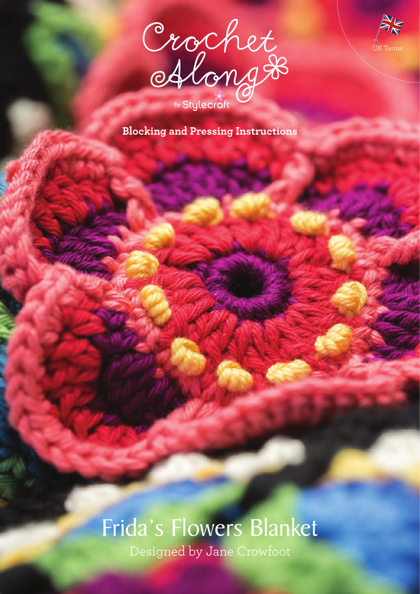



**Blocking and Pressing Instructions**

# Frida's Flowers Blanket

Designed by Jane Crowfoot